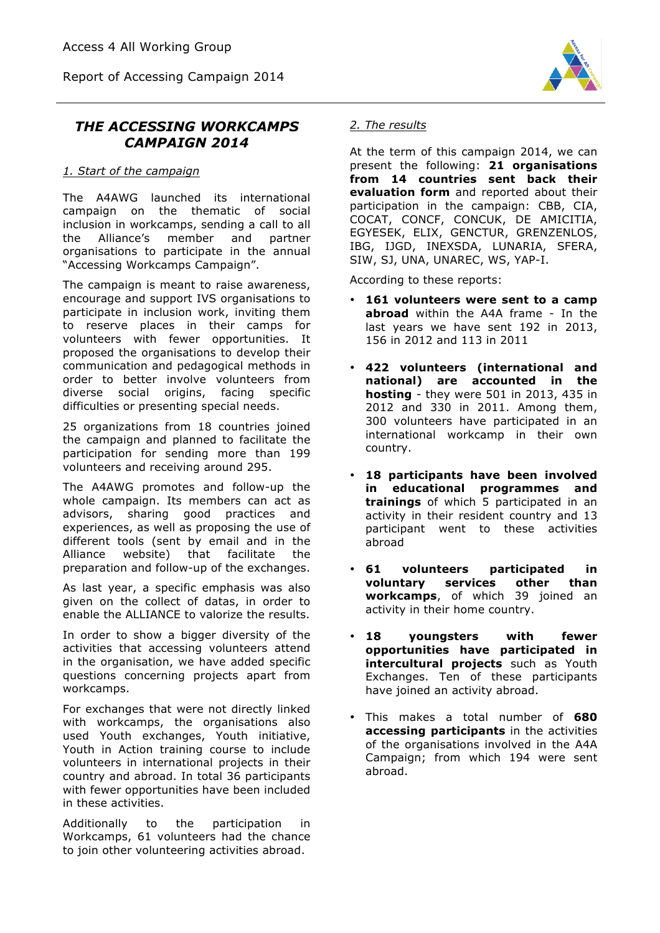Report of Accessing Campaign 2014



# *THE ACCESSING WORKCAMPS CAMPAIGN 2014*

### *1. Start of the campaign*

The A4AWG launched its international campaign on the thematic of social inclusion in workcamps, sending a call to all the Alliance's member and partner organisations to participate in the annual "Accessing Workcamps Campaign".

The campaign is meant to raise awareness, encourage and support IVS organisations to participate in inclusion work, inviting them to reserve places in their camps for volunteers with fewer opportunities. It proposed the organisations to develop their communication and pedagogical methods in order to better involve volunteers from diverse social origins, facing specific difficulties or presenting special needs.

25 organizations from 18 countries joined the campaign and planned to facilitate the participation for sending more than 199 volunteers and receiving around 295.

The A4AWG promotes and follow-up the whole campaign. Its members can act as advisors, sharing good practices and experiences, as well as proposing the use of different tools (sent by email and in the Alliance website) that facilitate the preparation and follow-up of the exchanges.

As last year, a specific emphasis was also given on the collect of datas, in order to enable the ALLIANCE to valorize the results.

In order to show a bigger diversity of the activities that accessing volunteers attend in the organisation, we have added specific questions concerning projects apart from workcamps.

For exchanges that were not directly linked with workcamps, the organisations also used Youth exchanges, Youth initiative, Youth in Action training course to include volunteers in international projects in their country and abroad. In total 36 participants with fewer opportunities have been included in these activities.

Additionally to the participation in Workcamps, 61 volunteers had the chance to join other volunteering activities abroad.

# *2. The results*

At the term of this campaign 2014, we can present the following: **21 organisations from 14 countries sent back their evaluation form** and reported about their participation in the campaign: CBB, CIA, COCAT, CONCF, CONCUK, DE AMICITIA, EGYESEK, ELIX, GENCTUR, GRENZENLOS, IBG, IJGD, INEXSDA, LUNARIA, SFERA, SIW, SJ, UNA, UNAREC, WS, YAP-I.

According to these reports:

- **161 volunteers were sent to a camp abroad** within the A4A frame - In the last years we have sent 192 in 2013, 156 in 2012 and 113 in 2011
- **422 volunteers (international and national) are accounted in the hosting** - they were 501 in 2013, 435 in 2012 and 330 in 2011. Among them, 300 volunteers have participated in an international workcamp in their own country.
- **18 participants have been involved in educational programmes and trainings** of which 5 participated in an activity in their resident country and 13 participant went to these activities abroad
- **61 volunteers participated in voluntary services other than workcamps**, of which 39 joined an activity in their home country.
- **18 youngsters with fewer opportunities have participated in intercultural projects** such as Youth Exchanges. Ten of these participants have joined an activity abroad.
- This makes a total number of **680 accessing participants** in the activities of the organisations involved in the A4A Campaign; from which 194 were sent abroad.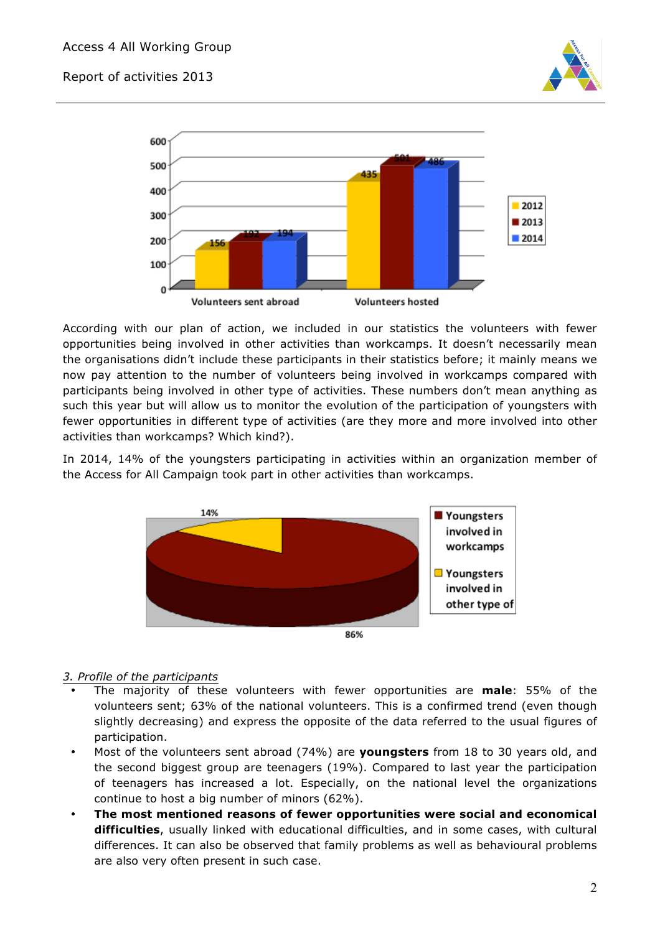



According with our plan of action, we included in our statistics the volunteers with fewer opportunities being involved in other activities than workcamps. It doesn't necessarily mean the organisations didn't include these participants in their statistics before; it mainly means we now pay attention to the number of volunteers being involved in workcamps compared with participants being involved in other type of activities. These numbers don't mean anything as such this year but will allow us to monitor the evolution of the participation of youngsters with fewer opportunities in different type of activities (are they more and more involved into other activities than workcamps? Which kind?).

In 2014, 14% of the youngsters participating in activities within an organization member of the Access for All Campaign took part in other activities than workcamps.



# *3. Profile of the participants*

- The majority of these volunteers with fewer opportunities are **male**: 55% of the volunteers sent; 63% of the national volunteers. This is a confirmed trend (even though slightly decreasing) and express the opposite of the data referred to the usual figures of participation.
- Most of the volunteers sent abroad (74%) are **youngsters** from 18 to 30 years old, and the second biggest group are teenagers (19%). Compared to last year the participation of teenagers has increased a lot. Especially, on the national level the organizations continue to host a big number of minors (62%).
- **The most mentioned reasons of fewer opportunities were social and economical difficulties**, usually linked with educational difficulties, and in some cases, with cultural differences. It can also be observed that family problems as well as behavioural problems are also very often present in such case.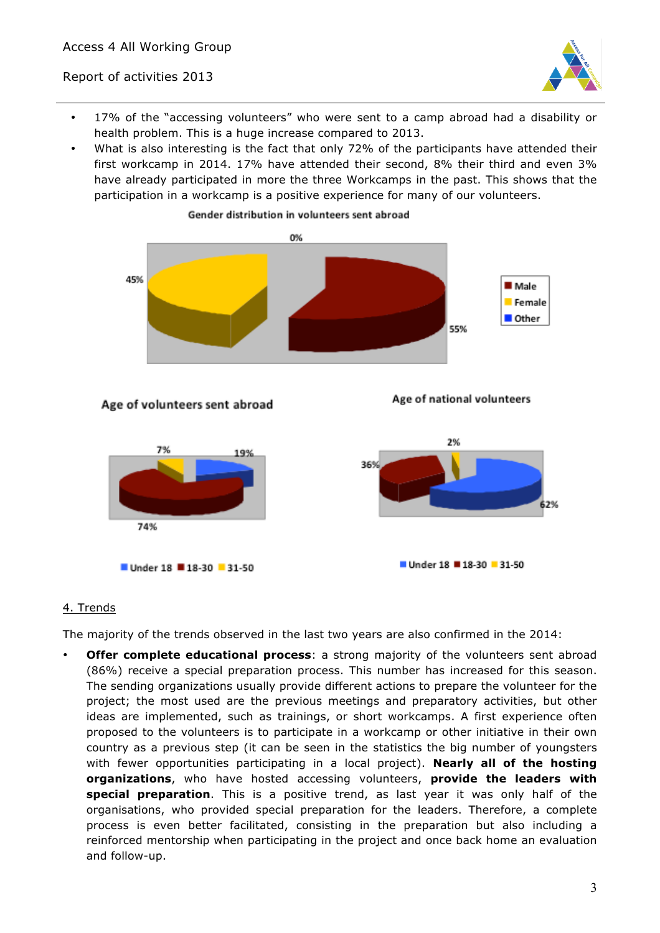

- 17% of the "accessing volunteers" who were sent to a camp abroad had a disability or health problem. This is a huge increase compared to 2013.
- What is also interesting is the fact that only 72% of the participants have attended their first workcamp in 2014. 17% have attended their second, 8% their third and even 3% have already participated in more the three Workcamps in the past. This shows that the participation in a workcamp is a positive experience for many of our volunteers.



#### Age of volunteers sent abroad

Age of national volunteers



#### 4. Trends

The majority of the trends observed in the last two years are also confirmed in the 2014:

• **Offer complete educational process**: a strong majority of the volunteers sent abroad (86%) receive a special preparation process. This number has increased for this season. The sending organizations usually provide different actions to prepare the volunteer for the project; the most used are the previous meetings and preparatory activities, but other ideas are implemented, such as trainings, or short workcamps. A first experience often proposed to the volunteers is to participate in a workcamp or other initiative in their own country as a previous step (it can be seen in the statistics the big number of youngsters with fewer opportunities participating in a local project). **Nearly all of the hosting organizations**, who have hosted accessing volunteers, **provide the leaders with special preparation**. This is a positive trend, as last year it was only half of the organisations, who provided special preparation for the leaders. Therefore, a complete process is even better facilitated, consisting in the preparation but also including a reinforced mentorship when participating in the project and once back home an evaluation and follow-up.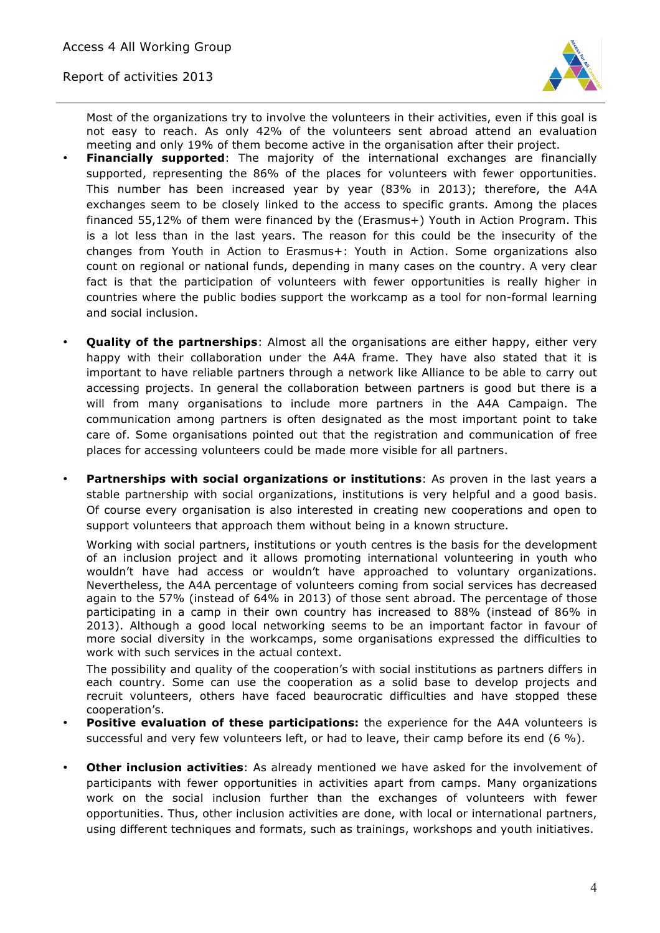

Most of the organizations try to involve the volunteers in their activities, even if this goal is not easy to reach. As only 42% of the volunteers sent abroad attend an evaluation meeting and only 19% of them become active in the organisation after their project.

- **Financially supported**: The majority of the international exchanges are financially supported, representing the 86% of the places for volunteers with fewer opportunities. This number has been increased year by year (83% in 2013); therefore, the A4A exchanges seem to be closely linked to the access to specific grants. Among the places financed 55,12% of them were financed by the (Erasmus+) Youth in Action Program. This is a lot less than in the last years. The reason for this could be the insecurity of the changes from Youth in Action to Erasmus+: Youth in Action. Some organizations also count on regional or national funds, depending in many cases on the country. A very clear fact is that the participation of volunteers with fewer opportunities is really higher in countries where the public bodies support the workcamp as a tool for non-formal learning and social inclusion.
- **Quality of the partnerships**: Almost all the organisations are either happy, either very happy with their collaboration under the A4A frame. They have also stated that it is important to have reliable partners through a network like Alliance to be able to carry out accessing projects. In general the collaboration between partners is good but there is a will from many organisations to include more partners in the A4A Campaign. The communication among partners is often designated as the most important point to take care of. Some organisations pointed out that the registration and communication of free places for accessing volunteers could be made more visible for all partners.
- **Partnerships with social organizations or institutions**: As proven in the last years a stable partnership with social organizations, institutions is very helpful and a good basis. Of course every organisation is also interested in creating new cooperations and open to support volunteers that approach them without being in a known structure.

Working with social partners, institutions or youth centres is the basis for the development of an inclusion project and it allows promoting international volunteering in youth who wouldn't have had access or wouldn't have approached to voluntary organizations. Nevertheless, the A4A percentage of volunteers coming from social services has decreased again to the 57% (instead of 64% in 2013) of those sent abroad. The percentage of those participating in a camp in their own country has increased to 88% (instead of 86% in 2013). Although a good local networking seems to be an important factor in favour of more social diversity in the workcamps, some organisations expressed the difficulties to work with such services in the actual context.

The possibility and quality of the cooperation's with social institutions as partners differs in each country. Some can use the cooperation as a solid base to develop projects and recruit volunteers, others have faced beaurocratic difficulties and have stopped these cooperation's.

- **Positive evaluation of these participations:** the experience for the A4A volunteers is successful and very few volunteers left, or had to leave, their camp before its end (6 %).
- **Other inclusion activities**: As already mentioned we have asked for the involvement of participants with fewer opportunities in activities apart from camps. Many organizations work on the social inclusion further than the exchanges of volunteers with fewer opportunities. Thus, other inclusion activities are done, with local or international partners, using different techniques and formats, such as trainings, workshops and youth initiatives.